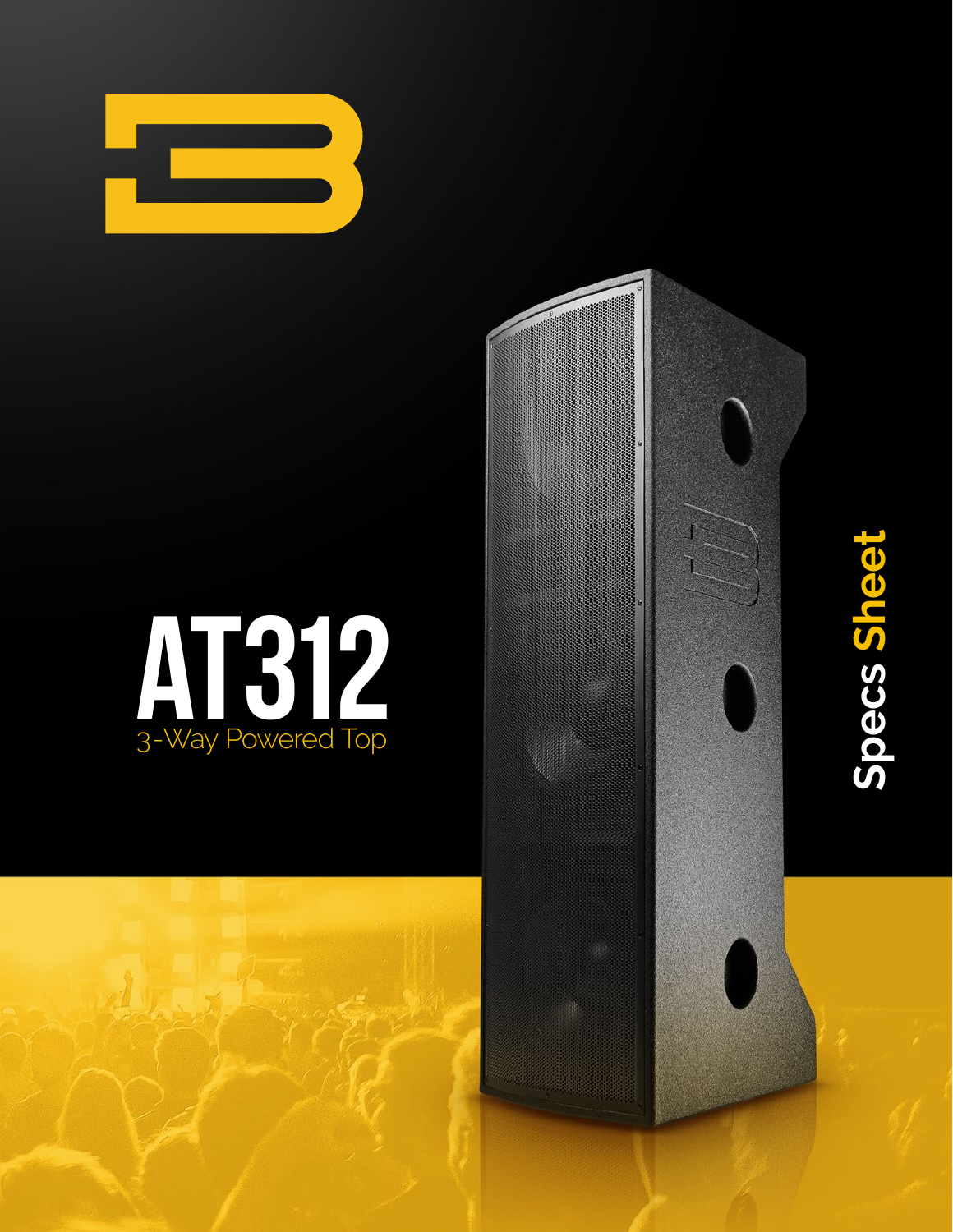

# AT312 3-Way Powered Top





**Specs Sheet**

Specs Sheet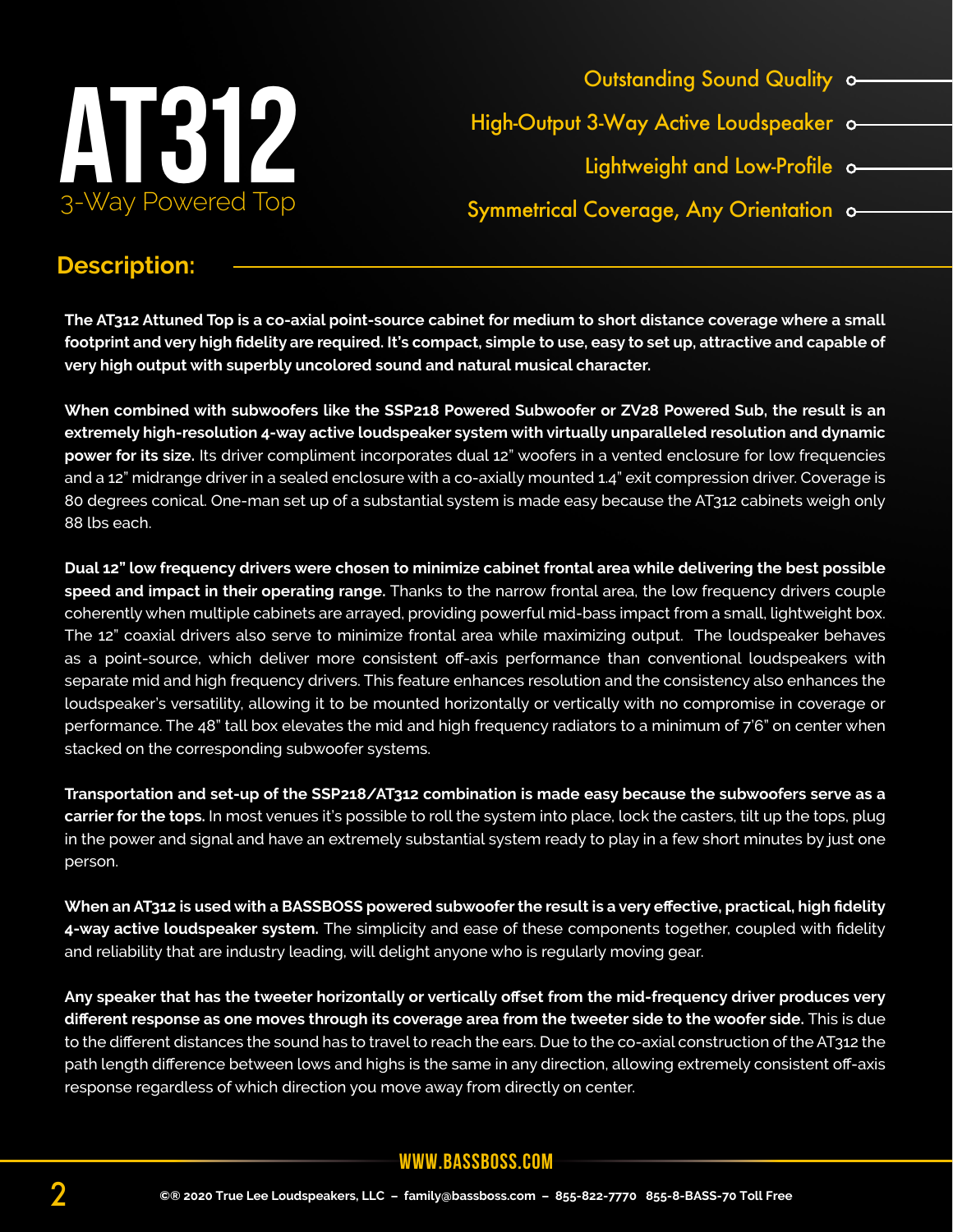

Outstanding Sound Quality o-High-Output 3-Way Active Loudspeaker o Lightweight and Low-Profile o-Symmetrical Coverage, Any Orientation o-

### **Description:**

**The AT312 Attuned Top is a co-axial point-source cabinet for medium to short distance coverage where a small footprint and very high fidelity are required. It's compact, simple to use, easy to set up, attractive and capable of very high output with superbly uncolored sound and natural musical character.**

**When combined with subwoofers like the SSP218 Powered Subwoofer or ZV28 Powered Sub, the result is an extremely high-resolution 4-way active loudspeaker system with virtually unparalleled resolution and dynamic power for its size.** Its driver compliment incorporates dual 12" woofers in a vented enclosure for low frequencies and a 12" midrange driver in a sealed enclosure with a co-axially mounted 1.4" exit compression driver. Coverage is 80 degrees conical. One-man set up of a substantial system is made easy because the AT312 cabinets weigh only 88 lbs each.

**Dual 12" low frequency drivers were chosen to minimize cabinet frontal area while delivering the best possible speed and impact in their operating range.** Thanks to the narrow frontal area, the low frequency drivers couple coherently when multiple cabinets are arrayed, providing powerful mid-bass impact from a small, lightweight box. The 12" coaxial drivers also serve to minimize frontal area while maximizing output. The loudspeaker behaves as a point-source, which deliver more consistent off-axis performance than conventional loudspeakers with separate mid and high frequency drivers. This feature enhances resolution and the consistency also enhances the loudspeaker's versatility, allowing it to be mounted horizontally or vertically with no compromise in coverage or performance. The 48" tall box elevates the mid and high frequency radiators to a minimum of 7'6" on center when stacked on the corresponding subwoofer systems.

**Transportation and set-up of the SSP218/AT312 combination is made easy because the subwoofers serve as a carrier for the tops.** In most venues it's possible to roll the system into place, lock the casters, tilt up the tops, plug in the power and signal and have an extremely substantial system ready to play in a few short minutes by just one person.

**When an AT312 is used with a BASSBOSS powered subwoofer the result is a very effective, practical, high fidelity 4-way active loudspeaker system.** The simplicity and ease of these components together, coupled with fidelity and reliability that are industry leading, will delight anyone who is regularly moving gear.

**Any speaker that has the tweeter horizontally or vertically offset from the mid-frequency driver produces very different response as one moves through its coverage area from the tweeter side to the woofer side.** This is due to the different distances the sound has to travel to reach the ears. Due to the co-axial construction of the AT312 the path length difference between lows and highs is the same in any direction, allowing extremely consistent off-axis response regardless of which direction you move away from directly on center.

#### **www.bassboss.com**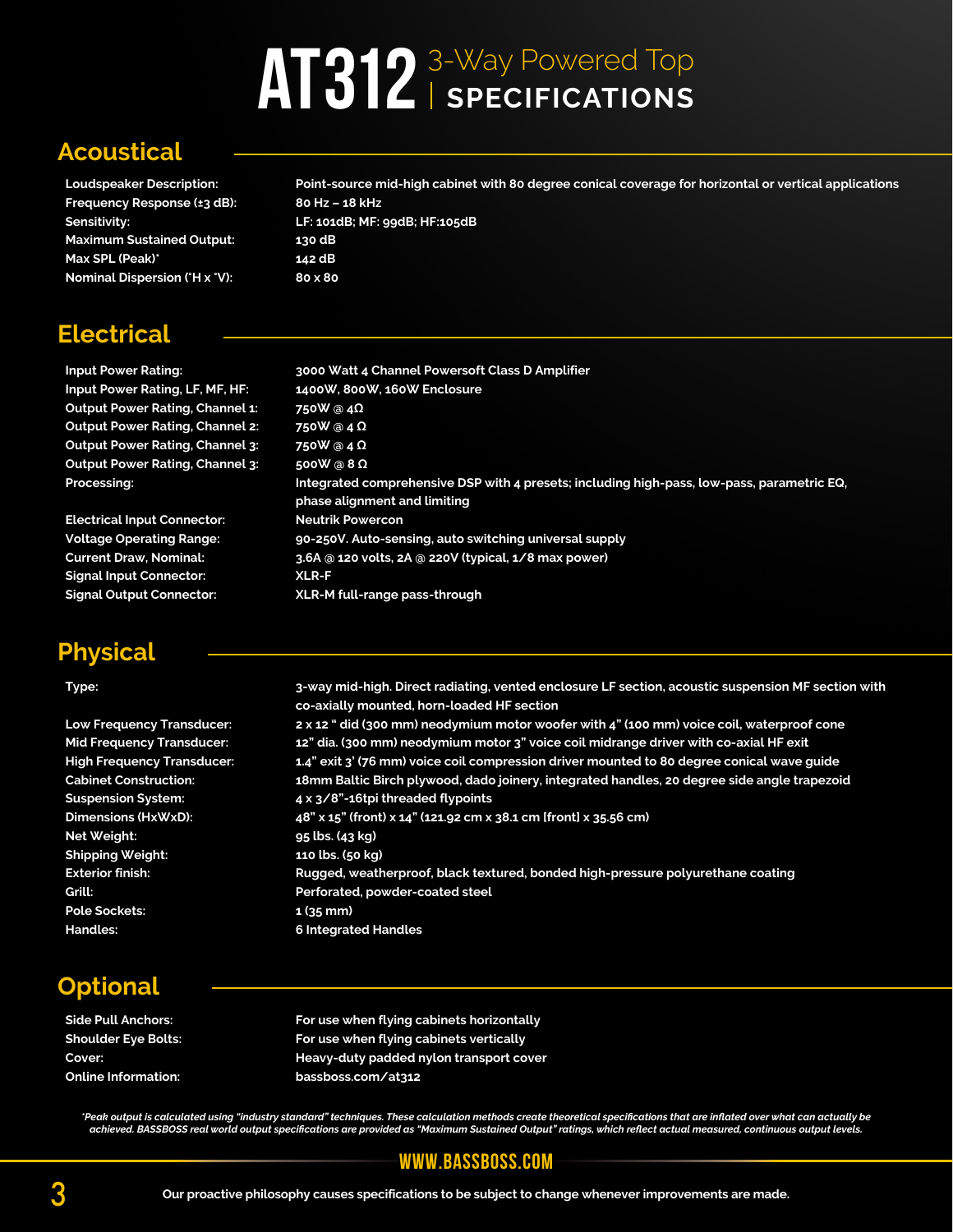# AT312<sup>3-Way Powered Top</sup>

# **Acoustical**

| <b>Loudspeaker Description:</b>  | Point-source mid-high cabinet with 80 degree conical coverage for horizontal or vertical applications |
|----------------------------------|-------------------------------------------------------------------------------------------------------|
| Frequency Response (±3 dB):      | 80 Hz - 18 kHz                                                                                        |
| Sensitivity:                     | LF: 101dB; MF: 99dB; HF:105dB                                                                         |
| <b>Maximum Sustained Output:</b> | 130 dB                                                                                                |
| Max SPL (Peak)*                  | 142 dB                                                                                                |
| Nominal Dispersion (°H x °V):    | 80 x 80                                                                                               |

# **Electrical**

**Input Power Rating: 3000 Watt 4 Channel Powersoft Class D Amplifier Input Power Rating, LF, MF, HF: 1400W, 800W, 160W Enclosure Output Power Rating, Channel 1: 750W @ 4Ω Output Power Rating, Channel 2: 750W @ 4 Ω Output Power Rating, Channel 3: 750W @ 4 Ω Output Power Rating, Channel 3: 500W @ 8 Ω Processing: Integrated comprehensive DSP with 4 presets; including high-pass, low-pass, parametric EQ,** 

**Electrical Input Connector: Neutrik Powercon Voltage Operating Range: 90-250V. Auto-sensing, auto switching universal supply Current Draw, Nominal: 3.6A @ 120 volts, 2A @ 220V (typical, 1/8 max power) Signal Input Connector: XLR-F Signal Output Connector: XLR-M full-range pass-through**

## **Physical**

| Type:                             | 3-way mid-high. Direct radiating, vented enclosure LF section, acoustic suspension MF section with<br>co-axially mounted, horn-loaded HF section |
|-----------------------------------|--------------------------------------------------------------------------------------------------------------------------------------------------|
| <b>Low Frequency Transducer:</b>  | 2 x 12 " did (300 mm) neodymium motor woofer with 4" (100 mm) voice coil, waterproof cone                                                        |
| <b>Mid Frequency Transducer:</b>  | 12" dia. (300 mm) neodymium motor 3" voice coil midrange driver with co-axial HF exit                                                            |
| <b>High Frequency Transducer:</b> | 1.4" exit 3' (76 mm) voice coil compression driver mounted to 80 degree conical wave guide                                                       |
| <b>Cabinet Construction:</b>      | 18mm Baltic Birch plywood, dado joinery, integrated handles, 20 degree side angle trapezoid                                                      |
| <b>Suspension System:</b>         | 4 x 3/8"-16tpi threaded flypoints                                                                                                                |
| Dimensions (HxWxD):               | 48" x 15" (front) x 14" (121.92 cm x 38.1 cm [front] x 35.56 cm)                                                                                 |
| Net Weight:                       | 95 lbs. (43 kg)                                                                                                                                  |
| Shipping Weight:                  | 110 lbs. (50 kg)                                                                                                                                 |
| <b>Exterior finish:</b>           | Rugged, weatherproof, black textured, bonded high-pressure polyurethane coating                                                                  |
| Grill:                            | Perforated, powder-coated steel                                                                                                                  |
| <b>Pole Sockets:</b>              | $1(35$ mm)                                                                                                                                       |
| <b>Handles:</b>                   | <b>6 Integrated Handles</b>                                                                                                                      |
|                                   |                                                                                                                                                  |

# **Optional**

**Side Pull Anchors: For use when flying cabinets horizontally Shoulder Eye Bolts: For use when flying cabinets vertically Cover: Heavy-duty padded nylon transport cover Online Information: bassboss.com/at312**

**phase alignment and limiting**

"Peak output is calculated using "industry standard" techniques. These calculation methods create theoretical specifications that are inflated over what can actually be<br>achieved. BASSBOSS real world output specifications a

#### **www.bassboss.com**